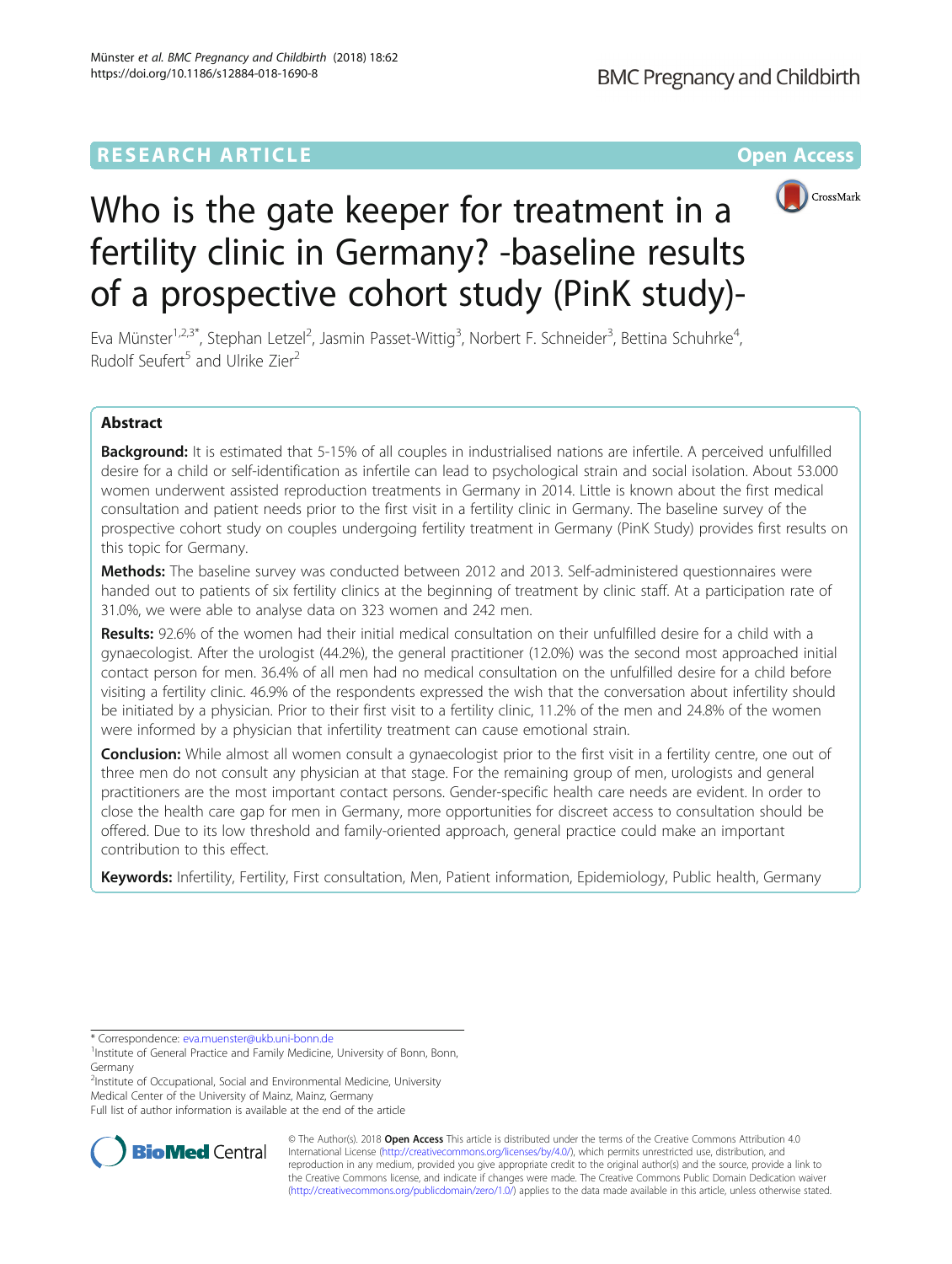# **RESEARCH ARTICLE Example 2014 12:30 The Contract of Contract ACCESS**



# Who is the gate keeper for treatment in a fertility clinic in Germany? -baseline results of a prospective cohort study (PinK study)-

Eva Münster<sup>1,2,3\*</sup>, Stephan Letzel<sup>2</sup>, Jasmin Passet-Wittig<sup>3</sup>, Norbert F. Schneider<sup>3</sup>, Bettina Schuhrke<sup>4</sup> , Rudolf Seufert<sup>5</sup> and Ulrike Zier<sup>2</sup>

# Abstract

Background: It is estimated that 5-15% of all couples in industrialised nations are infertile. A perceived unfulfilled desire for a child or self-identification as infertile can lead to psychological strain and social isolation. About 53.000 women underwent assisted reproduction treatments in Germany in 2014. Little is known about the first medical consultation and patient needs prior to the first visit in a fertility clinic in Germany. The baseline survey of the prospective cohort study on couples undergoing fertility treatment in Germany (PinK Study) provides first results on this topic for Germany.

Methods: The baseline survey was conducted between 2012 and 2013. Self-administered questionnaires were handed out to patients of six fertility clinics at the beginning of treatment by clinic staff. At a participation rate of 31.0%, we were able to analyse data on 323 women and 242 men.

Results: 92.6% of the women had their initial medical consultation on their unfulfilled desire for a child with a gynaecologist. After the urologist (44.2%), the general practitioner (12.0%) was the second most approached initial contact person for men. 36.4% of all men had no medical consultation on the unfulfilled desire for a child before visiting a fertility clinic. 46.9% of the respondents expressed the wish that the conversation about infertility should be initiated by a physician. Prior to their first visit to a fertility clinic, 11.2% of the men and 24.8% of the women were informed by a physician that infertility treatment can cause emotional strain.

Conclusion: While almost all women consult a gynaecologist prior to the first visit in a fertility centre, one out of three men do not consult any physician at that stage. For the remaining group of men, urologists and general practitioners are the most important contact persons. Gender-specific health care needs are evident. In order to close the health care gap for men in Germany, more opportunities for discreet access to consultation should be offered. Due to its low threshold and family-oriented approach, general practice could make an important contribution to this effect.

Keywords: Infertility, Fertility, First consultation, Men, Patient information, Epidemiology, Public health, Germany

\* Correspondence: [eva.muenster@ukb.uni-bonn.de](mailto:eva.muenster@ukb.uni-bonn.de) <sup>1</sup>

<sup>2</sup>Institute of Occupational, Social and Environmental Medicine, University Medical Center of the University of Mainz, Mainz, Germany

Full list of author information is available at the end of the article



© The Author(s). 2018 Open Access This article is distributed under the terms of the Creative Commons Attribution 4.0 International License [\(http://creativecommons.org/licenses/by/4.0/](http://creativecommons.org/licenses/by/4.0/)), which permits unrestricted use, distribution, and reproduction in any medium, provided you give appropriate credit to the original author(s) and the source, provide a link to the Creative Commons license, and indicate if changes were made. The Creative Commons Public Domain Dedication waiver [\(http://creativecommons.org/publicdomain/zero/1.0/](http://creativecommons.org/publicdomain/zero/1.0/)) applies to the data made available in this article, unless otherwise stated.

<sup>&</sup>lt;sup>1</sup>Institute of General Practice and Family Medicine, University of Bonn, Bonn, Germany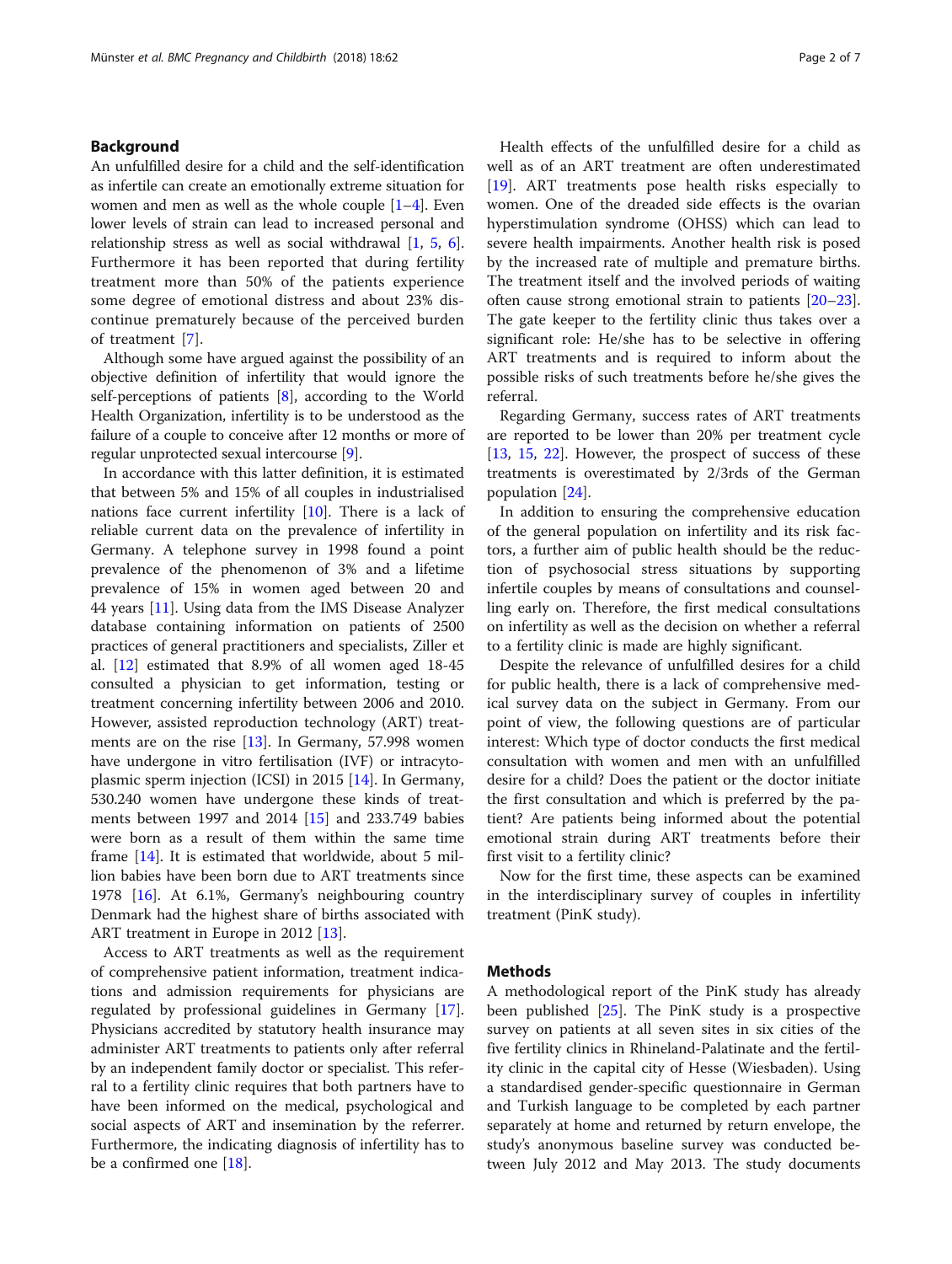# Background

An unfulfilled desire for a child and the self-identification as infertile can create an emotionally extreme situation for women and men as well as the whole couple [\[1](#page-6-0)–[4\]](#page-6-0). Even lower levels of strain can lead to increased personal and relationship stress as well as social withdrawal [\[1,](#page-6-0) [5](#page-6-0), [6](#page-6-0)]. Furthermore it has been reported that during fertility treatment more than 50% of the patients experience some degree of emotional distress and about 23% discontinue prematurely because of the perceived burden of treatment [[7\]](#page-6-0).

Although some have argued against the possibility of an objective definition of infertility that would ignore the self-perceptions of patients [\[8\]](#page-6-0), according to the World Health Organization, infertility is to be understood as the failure of a couple to conceive after 12 months or more of regular unprotected sexual intercourse [[9](#page-6-0)].

In accordance with this latter definition, it is estimated that between 5% and 15% of all couples in industrialised nations face current infertility [\[10](#page-6-0)]. There is a lack of reliable current data on the prevalence of infertility in Germany. A telephone survey in 1998 found a point prevalence of the phenomenon of 3% and a lifetime prevalence of 15% in women aged between 20 and 44 years [\[11](#page-6-0)]. Using data from the IMS Disease Analyzer database containing information on patients of 2500 practices of general practitioners and specialists, Ziller et al. [[12\]](#page-6-0) estimated that 8.9% of all women aged 18-45 consulted a physician to get information, testing or treatment concerning infertility between 2006 and 2010. However, assisted reproduction technology (ART) treatments are on the rise [[13](#page-6-0)]. In Germany, 57.998 women have undergone in vitro fertilisation (IVF) or intracytoplasmic sperm injection (ICSI) in 2015 [\[14\]](#page-6-0). In Germany, 530.240 women have undergone these kinds of treatments between 1997 and 2014 [\[15](#page-6-0)] and 233.749 babies were born as a result of them within the same time frame [\[14](#page-6-0)]. It is estimated that worldwide, about 5 million babies have been born due to ART treatments since 1978 [[16](#page-6-0)]. At 6.1%, Germany's neighbouring country Denmark had the highest share of births associated with ART treatment in Europe in 2012 [[13](#page-6-0)].

Access to ART treatments as well as the requirement of comprehensive patient information, treatment indications and admission requirements for physicians are regulated by professional guidelines in Germany [\[17](#page-6-0)]. Physicians accredited by statutory health insurance may administer ART treatments to patients only after referral by an independent family doctor or specialist. This referral to a fertility clinic requires that both partners have to have been informed on the medical, psychological and social aspects of ART and insemination by the referrer. Furthermore, the indicating diagnosis of infertility has to be a confirmed one [\[18](#page-6-0)].

Health effects of the unfulfilled desire for a child as well as of an ART treatment are often underestimated [[19\]](#page-6-0). ART treatments pose health risks especially to women. One of the dreaded side effects is the ovarian hyperstimulation syndrome (OHSS) which can lead to severe health impairments. Another health risk is posed by the increased rate of multiple and premature births. The treatment itself and the involved periods of waiting often cause strong emotional strain to patients [[20](#page-6-0)–[23](#page-6-0)]. The gate keeper to the fertility clinic thus takes over a significant role: He/she has to be selective in offering ART treatments and is required to inform about the possible risks of such treatments before he/she gives the referral.

Regarding Germany, success rates of ART treatments are reported to be lower than 20% per treatment cycle [[13,](#page-6-0) [15,](#page-6-0) [22](#page-6-0)]. However, the prospect of success of these treatments is overestimated by 2/3rds of the German population [[24\]](#page-6-0).

In addition to ensuring the comprehensive education of the general population on infertility and its risk factors, a further aim of public health should be the reduction of psychosocial stress situations by supporting infertile couples by means of consultations and counselling early on. Therefore, the first medical consultations on infertility as well as the decision on whether a referral to a fertility clinic is made are highly significant.

Despite the relevance of unfulfilled desires for a child for public health, there is a lack of comprehensive medical survey data on the subject in Germany. From our point of view, the following questions are of particular interest: Which type of doctor conducts the first medical consultation with women and men with an unfulfilled desire for a child? Does the patient or the doctor initiate the first consultation and which is preferred by the patient? Are patients being informed about the potential emotional strain during ART treatments before their first visit to a fertility clinic?

Now for the first time, these aspects can be examined in the interdisciplinary survey of couples in infertility treatment (PinK study).

#### Methods

A methodological report of the PinK study has already been published [\[25\]](#page-6-0). The PinK study is a prospective survey on patients at all seven sites in six cities of the five fertility clinics in Rhineland-Palatinate and the fertility clinic in the capital city of Hesse (Wiesbaden). Using a standardised gender-specific questionnaire in German and Turkish language to be completed by each partner separately at home and returned by return envelope, the study's anonymous baseline survey was conducted between July 2012 and May 2013. The study documents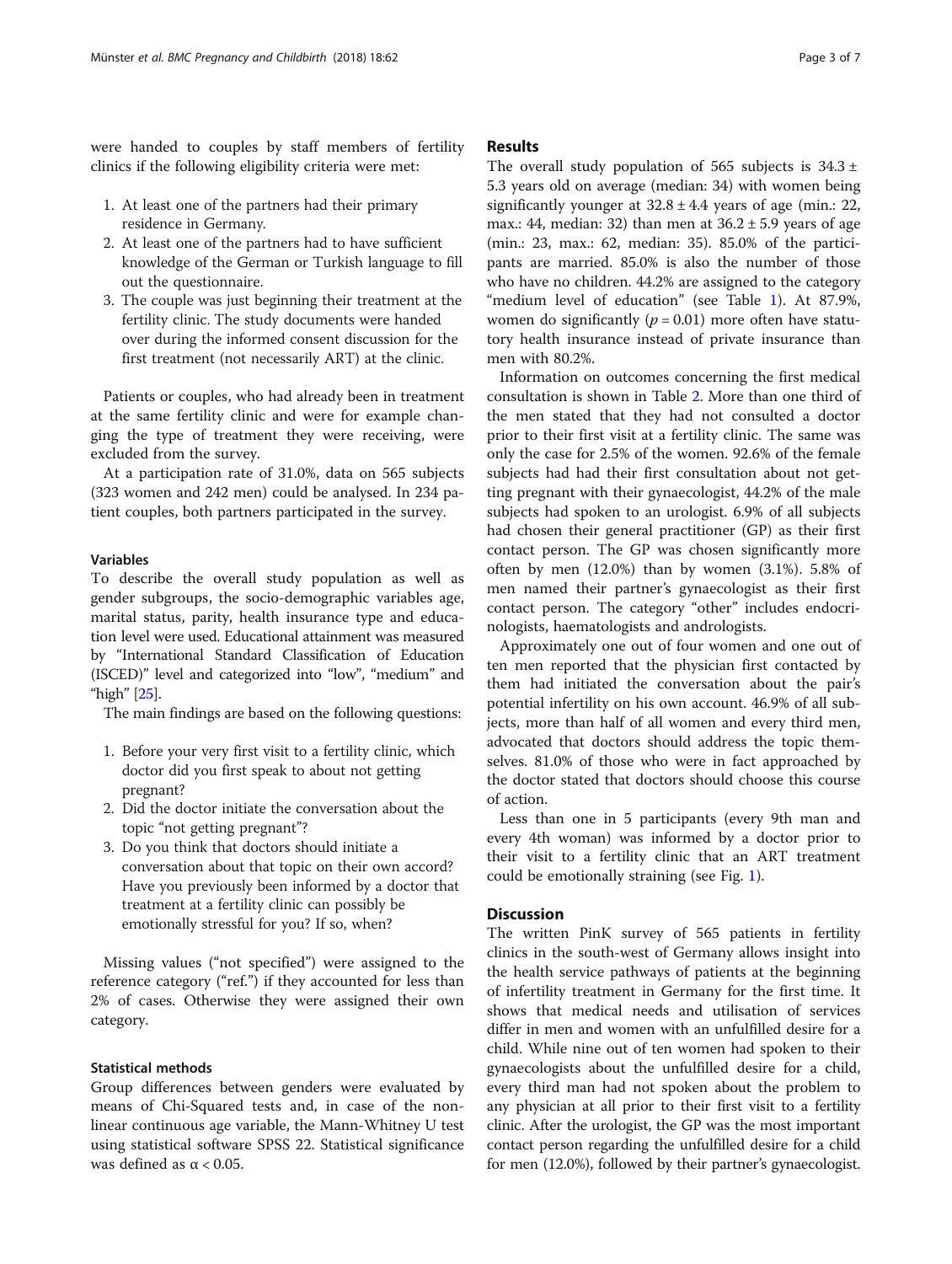were handed to couples by staff members of fertility clinics if the following eligibility criteria were met:

- 1. At least one of the partners had their primary residence in Germany.
- 2. At least one of the partners had to have sufficient knowledge of the German or Turkish language to fill out the questionnaire.
- 3. The couple was just beginning their treatment at the fertility clinic. The study documents were handed over during the informed consent discussion for the first treatment (not necessarily ART) at the clinic.

Patients or couples, who had already been in treatment at the same fertility clinic and were for example changing the type of treatment they were receiving, were excluded from the survey.

At a participation rate of 31.0%, data on 565 subjects (323 women and 242 men) could be analysed. In 234 patient couples, both partners participated in the survey.

# Variables

To describe the overall study population as well as gender subgroups, the socio-demographic variables age, marital status, parity, health insurance type and education level were used. Educational attainment was measured by "International Standard Classification of Education (ISCED)" level and categorized into "low", "medium" and "high" [[25](#page-6-0)].

The main findings are based on the following questions:

- 1. Before your very first visit to a fertility clinic, which doctor did you first speak to about not getting pregnant?
- 2. Did the doctor initiate the conversation about the topic "not getting pregnant"?
- 3. Do you think that doctors should initiate a conversation about that topic on their own accord? Have you previously been informed by a doctor that treatment at a fertility clinic can possibly be emotionally stressful for you? If so, when?

Missing values ("not specified") were assigned to the reference category ("ref.") if they accounted for less than 2% of cases. Otherwise they were assigned their own category.

#### Statistical methods

Group differences between genders were evaluated by means of Chi-Squared tests and, in case of the nonlinear continuous age variable, the Mann-Whitney U test using statistical software SPSS 22. Statistical significance was defined as  $\alpha$  < 0.05.

# Results

The overall study population of 565 subjects is  $34.3 \pm$ 5.3 years old on average (median: 34) with women being significantly younger at  $32.8 \pm 4.4$  years of age (min.: 22, max.: 44, median: 32) than men at  $36.2 \pm 5.9$  years of age (min.: 23, max.: 62, median: 35). 85.0% of the participants are married. 85.0% is also the number of those who have no children. 44.2% are assigned to the category "medium level of education" (see Table [1\)](#page-3-0). At 87.9%, women do significantly ( $p = 0.01$ ) more often have statutory health insurance instead of private insurance than men with 80.2%.

Information on outcomes concerning the first medical consultation is shown in Table [2.](#page-3-0) More than one third of the men stated that they had not consulted a doctor prior to their first visit at a fertility clinic. The same was only the case for 2.5% of the women. 92.6% of the female subjects had had their first consultation about not getting pregnant with their gynaecologist, 44.2% of the male subjects had spoken to an urologist. 6.9% of all subjects had chosen their general practitioner (GP) as their first contact person. The GP was chosen significantly more often by men (12.0%) than by women (3.1%). 5.8% of men named their partner's gynaecologist as their first contact person. The category "other" includes endocrinologists, haematologists and andrologists.

Approximately one out of four women and one out of ten men reported that the physician first contacted by them had initiated the conversation about the pair's potential infertility on his own account. 46.9% of all subjects, more than half of all women and every third men, advocated that doctors should address the topic themselves. 81.0% of those who were in fact approached by the doctor stated that doctors should choose this course of action.

Less than one in 5 participants (every 9th man and every 4th woman) was informed by a doctor prior to their visit to a fertility clinic that an ART treatment could be emotionally straining (see Fig. [1](#page-4-0)).

### **Discussion**

The written PinK survey of 565 patients in fertility clinics in the south-west of Germany allows insight into the health service pathways of patients at the beginning of infertility treatment in Germany for the first time. It shows that medical needs and utilisation of services differ in men and women with an unfulfilled desire for a child. While nine out of ten women had spoken to their gynaecologists about the unfulfilled desire for a child, every third man had not spoken about the problem to any physician at all prior to their first visit to a fertility clinic. After the urologist, the GP was the most important contact person regarding the unfulfilled desire for a child for men (12.0%), followed by their partner's gynaecologist.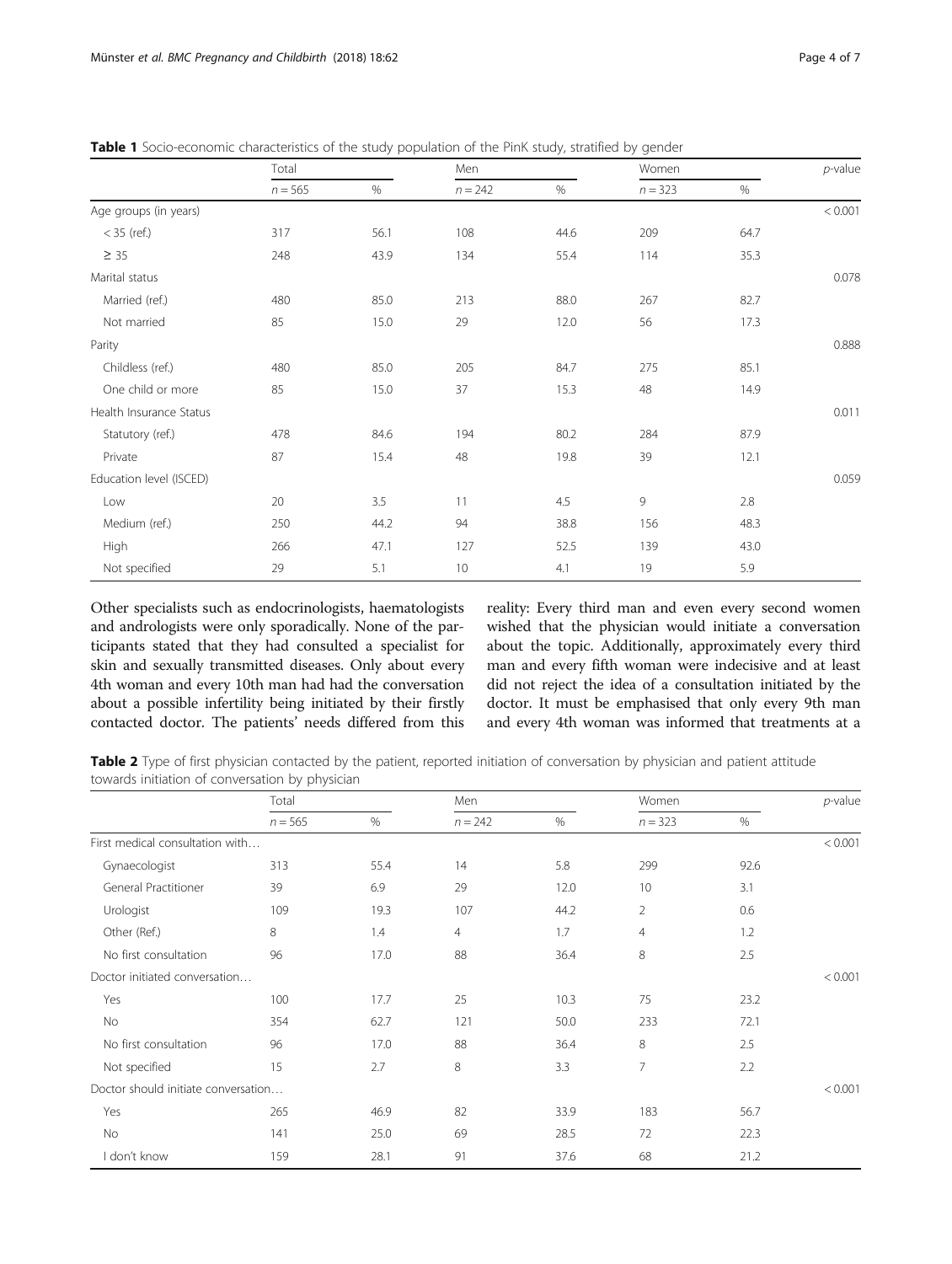|                         | Total     |      | Men       |      | Women     |      | $p$ -value |
|-------------------------|-----------|------|-----------|------|-----------|------|------------|
|                         | $n = 565$ | $\%$ | $n = 242$ | %    | $n = 323$ | $\%$ |            |
| Age groups (in years)   |           |      |           |      |           |      | < 0.001    |
| $<$ 35 (ref.)           | 317       | 56.1 | 108       | 44.6 | 209       | 64.7 |            |
| $\geq$ 35               | 248       | 43.9 | 134       | 55.4 | 114       | 35.3 |            |
| Marital status          |           |      |           |      |           |      | 0.078      |
| Married (ref.)          | 480       | 85.0 | 213       | 88.0 | 267       | 82.7 |            |
| Not married             | 85        | 15.0 | 29        | 12.0 | 56        | 17.3 |            |
| Parity                  |           |      |           |      |           |      | 0.888      |
| Childless (ref.)        | 480       | 85.0 | 205       | 84.7 | 275       | 85.1 |            |
| One child or more       | 85        | 15.0 | 37        | 15.3 | 48        | 14.9 |            |
| Health Insurance Status |           |      |           |      |           |      | 0.011      |
| Statutory (ref.)        | 478       | 84.6 | 194       | 80.2 | 284       | 87.9 |            |
| Private                 | 87        | 15.4 | 48        | 19.8 | 39        | 12.1 |            |
| Education level (ISCED) |           |      |           |      |           |      | 0.059      |
| Low                     | 20        | 3.5  | 11        | 4.5  | 9         | 2.8  |            |
| Medium (ref.)           | 250       | 44.2 | 94        | 38.8 | 156       | 48.3 |            |
| High                    | 266       | 47.1 | 127       | 52.5 | 139       | 43.0 |            |

<span id="page-3-0"></span>

Other specialists such as endocrinologists, haematologists and andrologists were only sporadically. None of the participants stated that they had consulted a specialist for skin and sexually transmitted diseases. Only about every 4th woman and every 10th man had had the conversation about a possible infertility being initiated by their firstly contacted doctor. The patients' needs differed from this reality: Every third man and even every second women wished that the physician would initiate a conversation about the topic. Additionally, approximately every third man and every fifth woman were indecisive and at least did not reject the idea of a consultation initiated by the doctor. It must be emphasised that only every 9th man and every 4th woman was informed that treatments at a

Table 2 Type of first physician contacted by the patient, reported initiation of conversation by physician and patient attitude towards initiation of conversation by physician

Not specified 29 5.1 10 4.1 19 5.9

|                                     | Total     |      | Men            |      | Women          |      | $p$ -value |
|-------------------------------------|-----------|------|----------------|------|----------------|------|------------|
|                                     | $n = 565$ | %    | $n = 242$      | $\%$ | $n = 323$      | %    |            |
| First medical consultation with     |           |      |                |      |                |      |            |
| Gynaecologist                       | 313       | 55.4 | 14             | 5.8  | 299            | 92.6 |            |
| General Practitioner                | 39        | 6.9  | 29             | 12.0 | 10             | 3.1  |            |
| Urologist                           | 109       | 19.3 | 107            | 44.2 | $\overline{2}$ | 0.6  |            |
| Other (Ref.)                        | 8         | 1.4  | $\overline{4}$ | 1.7  | $\overline{4}$ | 1.2  |            |
| No first consultation               | 96        | 17.0 | 88             | 36.4 | 8              | 2.5  |            |
| Doctor initiated conversation       |           |      |                |      |                |      | < 0.001    |
| Yes                                 | 100       | 17.7 | 25             | 10.3 | 75             | 23.2 |            |
| No                                  | 354       | 62.7 | 121            | 50.0 | 233            | 72.1 |            |
| No first consultation               | 96        | 17.0 | 88             | 36.4 | 8              | 2.5  |            |
| Not specified                       | 15        | 2.7  | 8              | 3.3  | $\overline{7}$ | 2.2  |            |
| Doctor should initiate conversation |           |      |                |      |                |      |            |
| Yes                                 | 265       | 46.9 | 82             | 33.9 | 183            | 56.7 |            |
| No                                  | 141       | 25.0 | 69             | 28.5 | 72             | 22.3 |            |
| I don't know                        | 159       | 28.1 | 91             | 37.6 | 68             | 21.2 |            |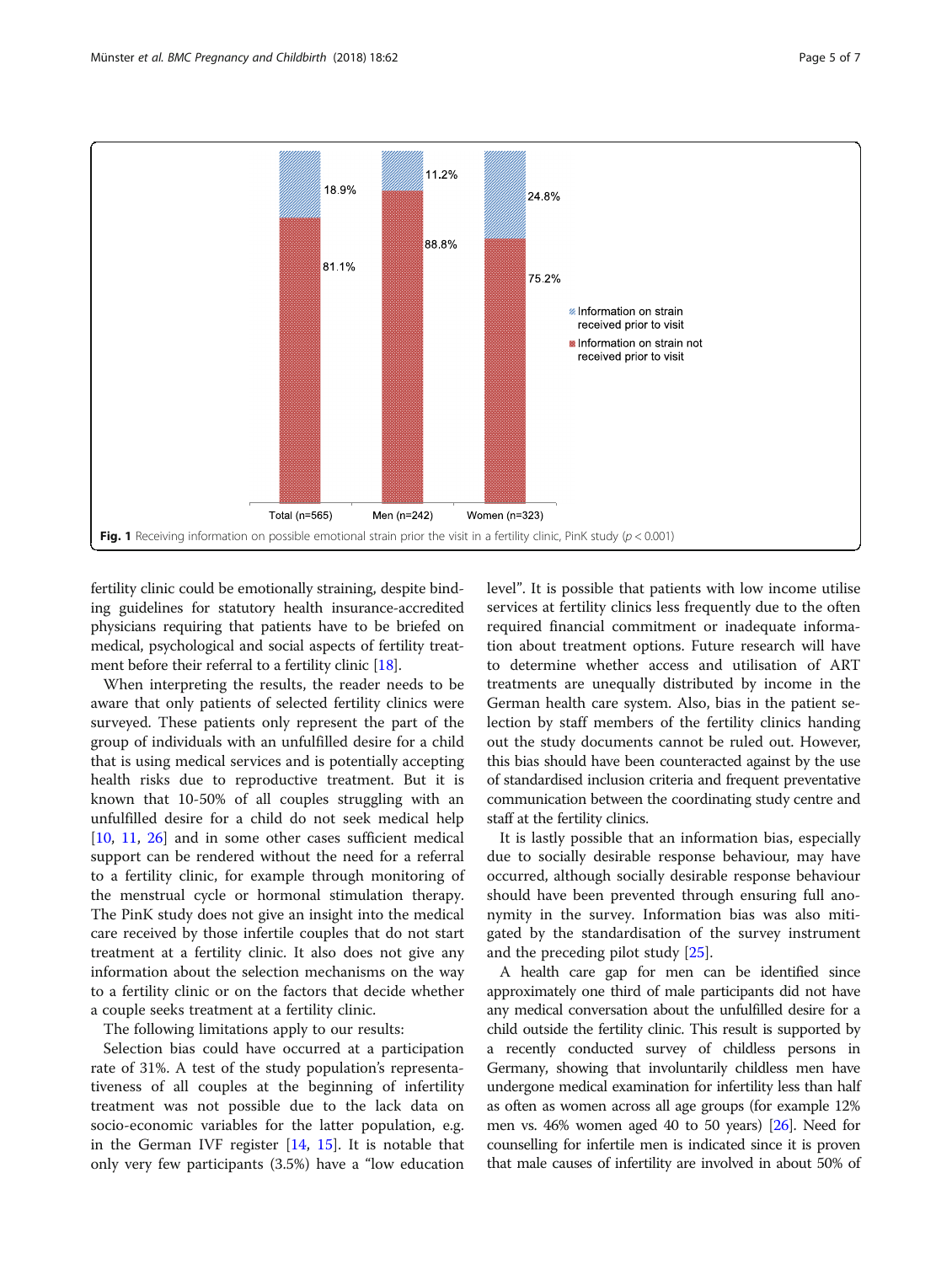<span id="page-4-0"></span>

fertility clinic could be emotionally straining, despite binding guidelines for statutory health insurance-accredited physicians requiring that patients have to be briefed on medical, psychological and social aspects of fertility treatment before their referral to a fertility clinic [[18](#page-6-0)].

When interpreting the results, the reader needs to be aware that only patients of selected fertility clinics were surveyed. These patients only represent the part of the group of individuals with an unfulfilled desire for a child that is using medical services and is potentially accepting health risks due to reproductive treatment. But it is known that 10-50% of all couples struggling with an unfulfilled desire for a child do not seek medical help [[10,](#page-6-0) [11,](#page-6-0) [26\]](#page-6-0) and in some other cases sufficient medical support can be rendered without the need for a referral to a fertility clinic, for example through monitoring of the menstrual cycle or hormonal stimulation therapy. The PinK study does not give an insight into the medical care received by those infertile couples that do not start treatment at a fertility clinic. It also does not give any information about the selection mechanisms on the way to a fertility clinic or on the factors that decide whether a couple seeks treatment at a fertility clinic.

The following limitations apply to our results:

Selection bias could have occurred at a participation rate of 31%. A test of the study population's representativeness of all couples at the beginning of infertility treatment was not possible due to the lack data on socio-economic variables for the latter population, e.g. in the German IVF register [[14,](#page-6-0) [15](#page-6-0)]. It is notable that only very few participants (3.5%) have a "low education level". It is possible that patients with low income utilise services at fertility clinics less frequently due to the often required financial commitment or inadequate information about treatment options. Future research will have to determine whether access and utilisation of ART treatments are unequally distributed by income in the German health care system. Also, bias in the patient selection by staff members of the fertility clinics handing out the study documents cannot be ruled out. However, this bias should have been counteracted against by the use of standardised inclusion criteria and frequent preventative communication between the coordinating study centre and staff at the fertility clinics.

It is lastly possible that an information bias, especially due to socially desirable response behaviour, may have occurred, although socially desirable response behaviour should have been prevented through ensuring full anonymity in the survey. Information bias was also mitigated by the standardisation of the survey instrument and the preceding pilot study [\[25](#page-6-0)].

A health care gap for men can be identified since approximately one third of male participants did not have any medical conversation about the unfulfilled desire for a child outside the fertility clinic. This result is supported by a recently conducted survey of childless persons in Germany, showing that involuntarily childless men have undergone medical examination for infertility less than half as often as women across all age groups (for example 12% men vs. 46% women aged 40 to 50 years) [\[26\]](#page-6-0). Need for counselling for infertile men is indicated since it is proven that male causes of infertility are involved in about 50% of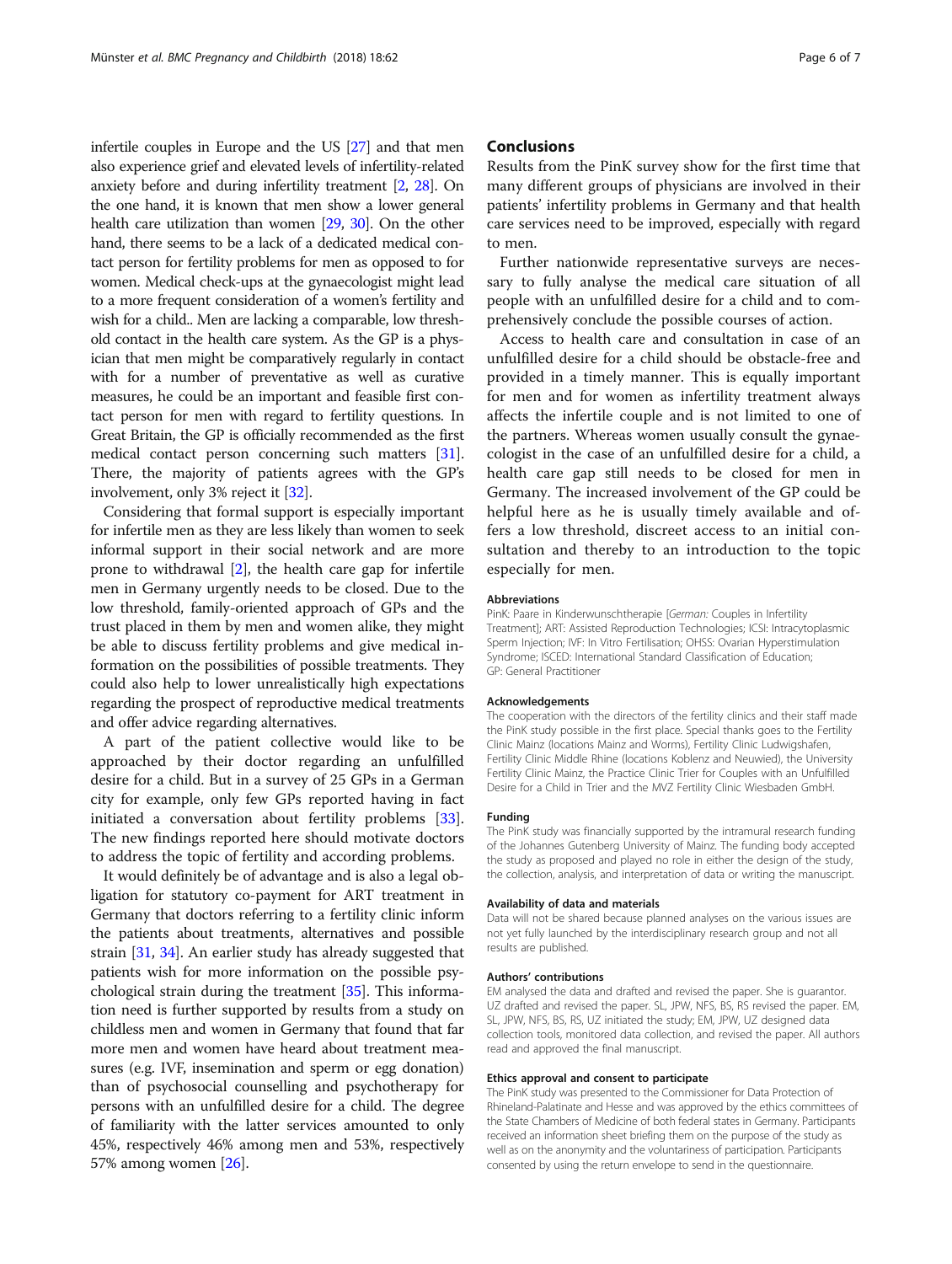infertile couples in Europe and the US [[27\]](#page-6-0) and that men also experience grief and elevated levels of infertility-related anxiety before and during infertility treatment [\[2,](#page-6-0) [28\]](#page-6-0). On the one hand, it is known that men show a lower general health care utilization than women [\[29](#page-6-0), [30\]](#page-6-0). On the other hand, there seems to be a lack of a dedicated medical contact person for fertility problems for men as opposed to for women. Medical check-ups at the gynaecologist might lead to a more frequent consideration of a women's fertility and wish for a child.. Men are lacking a comparable, low threshold contact in the health care system. As the GP is a physician that men might be comparatively regularly in contact with for a number of preventative as well as curative measures, he could be an important and feasible first contact person for men with regard to fertility questions. In Great Britain, the GP is officially recommended as the first medical contact person concerning such matters [[31](#page-6-0)]. There, the majority of patients agrees with the GP's involvement, only 3% reject it [[32](#page-6-0)].

Considering that formal support is especially important for infertile men as they are less likely than women to seek informal support in their social network and are more prone to withdrawal [\[2\]](#page-6-0), the health care gap for infertile men in Germany urgently needs to be closed. Due to the low threshold, family-oriented approach of GPs and the trust placed in them by men and women alike, they might be able to discuss fertility problems and give medical information on the possibilities of possible treatments. They could also help to lower unrealistically high expectations regarding the prospect of reproductive medical treatments and offer advice regarding alternatives.

A part of the patient collective would like to be approached by their doctor regarding an unfulfilled desire for a child. But in a survey of 25 GPs in a German city for example, only few GPs reported having in fact initiated a conversation about fertility problems [\[33](#page-6-0)]. The new findings reported here should motivate doctors to address the topic of fertility and according problems.

It would definitely be of advantage and is also a legal obligation for statutory co-payment for ART treatment in Germany that doctors referring to a fertility clinic inform the patients about treatments, alternatives and possible strain [\[31,](#page-6-0) [34\]](#page-6-0). An earlier study has already suggested that patients wish for more information on the possible psychological strain during the treatment [[35](#page-6-0)]. This information need is further supported by results from a study on childless men and women in Germany that found that far more men and women have heard about treatment measures (e.g. IVF, insemination and sperm or egg donation) than of psychosocial counselling and psychotherapy for persons with an unfulfilled desire for a child. The degree of familiarity with the latter services amounted to only 45%, respectively 46% among men and 53%, respectively 57% among women [[26\]](#page-6-0).

# **Conclusions**

Results from the PinK survey show for the first time that many different groups of physicians are involved in their patients' infertility problems in Germany and that health care services need to be improved, especially with regard to men.

Further nationwide representative surveys are necessary to fully analyse the medical care situation of all people with an unfulfilled desire for a child and to comprehensively conclude the possible courses of action.

Access to health care and consultation in case of an unfulfilled desire for a child should be obstacle-free and provided in a timely manner. This is equally important for men and for women as infertility treatment always affects the infertile couple and is not limited to one of the partners. Whereas women usually consult the gynaecologist in the case of an unfulfilled desire for a child, a health care gap still needs to be closed for men in Germany. The increased involvement of the GP could be helpful here as he is usually timely available and offers a low threshold, discreet access to an initial consultation and thereby to an introduction to the topic especially for men.

#### **Abbreviations**

PinK: Paare in Kinderwunschtherapie [German: Couples in Infertility Treatment]; ART: Assisted Reproduction Technologies; ICSI: Intracytoplasmic Sperm Injection; IVF: In Vitro Fertilisation; OHSS: Ovarian Hyperstimulation Syndrome; ISCED: International Standard Classification of Education; GP: General Practitioner

#### Acknowledgements

The cooperation with the directors of the fertility clinics and their staff made the PinK study possible in the first place. Special thanks goes to the Fertility Clinic Mainz (locations Mainz and Worms), Fertility Clinic Ludwigshafen, Fertility Clinic Middle Rhine (locations Koblenz and Neuwied), the University Fertility Clinic Mainz, the Practice Clinic Trier for Couples with an Unfulfilled Desire for a Child in Trier and the MVZ Fertility Clinic Wiesbaden GmbH.

#### Funding

The PinK study was financially supported by the intramural research funding of the Johannes Gutenberg University of Mainz. The funding body accepted the study as proposed and played no role in either the design of the study, the collection, analysis, and interpretation of data or writing the manuscript.

#### Availability of data and materials

Data will not be shared because planned analyses on the various issues are not yet fully launched by the interdisciplinary research group and not all results are published.

#### Authors' contributions

EM analysed the data and drafted and revised the paper. She is guarantor. UZ drafted and revised the paper. SL, JPW, NFS, BS, RS revised the paper. EM, SL, JPW, NFS, BS, RS, UZ initiated the study; EM, JPW, UZ designed data collection tools, monitored data collection, and revised the paper. All authors read and approved the final manuscript.

#### Ethics approval and consent to participate

The PinK study was presented to the Commissioner for Data Protection of Rhineland-Palatinate and Hesse and was approved by the ethics committees of the State Chambers of Medicine of both federal states in Germany. Participants received an information sheet briefing them on the purpose of the study as well as on the anonymity and the voluntariness of participation. Participants consented by using the return envelope to send in the questionnaire.